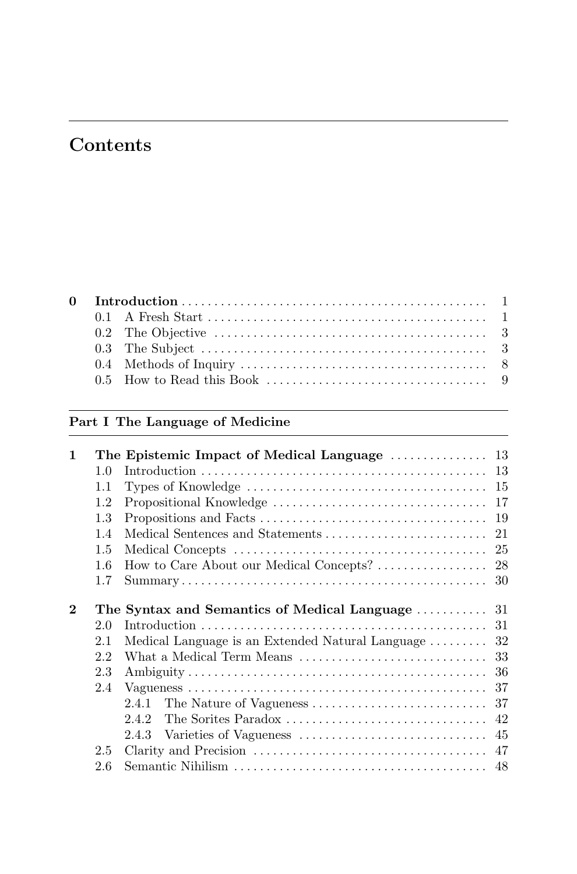# **Contents**

|  | 0.3 The Subject $\dots \dots \dots \dots \dots \dots \dots \dots \dots \dots \dots \dots \dots \dots$ |
|--|-------------------------------------------------------------------------------------------------------|
|  |                                                                                                       |
|  |                                                                                                       |

# **Part I The Language of Medicine**

| 1        |         | The Epistemic Impact of Medical Language  13                                              |    |
|----------|---------|-------------------------------------------------------------------------------------------|----|
|          | 1.0     |                                                                                           |    |
|          | $1.1\,$ | Types of Knowledge $\dots\dots\dots\dots\dots\dots\dots\dots\dots\dots\dots\dots\dots$ 15 |    |
|          | 1.2     |                                                                                           |    |
|          | 1.3     |                                                                                           |    |
|          | 1.4     |                                                                                           | 21 |
|          | 1.5     |                                                                                           |    |
|          | 1.6     |                                                                                           |    |
|          | 1.7     |                                                                                           |    |
| $\bf{2}$ |         | The Syntax and Semantics of Medical Language  31                                          |    |
|          | 2.0     |                                                                                           |    |
|          | 2.1     | Medical Language is an Extended Natural Language  32                                      |    |
|          | 2.2     |                                                                                           |    |
|          | 2.3     |                                                                                           |    |
|          | 2.4     |                                                                                           |    |
|          |         |                                                                                           |    |
|          |         | 242                                                                                       |    |
|          |         | 2.4.3                                                                                     |    |
|          | 2.5     |                                                                                           |    |
|          | 2.6     |                                                                                           |    |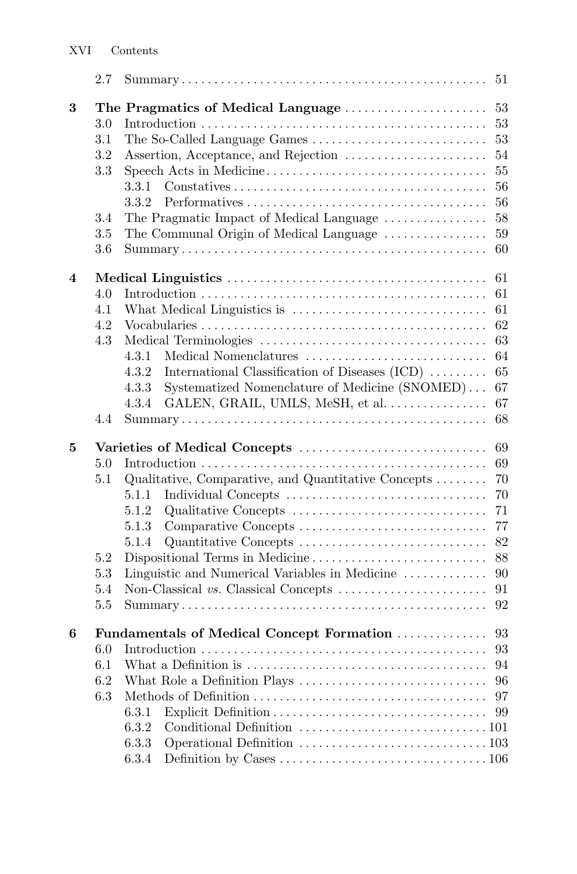|   | 2.7                                           |                                                                                                                                                                                                                                                                           | 51                                                             |
|---|-----------------------------------------------|---------------------------------------------------------------------------------------------------------------------------------------------------------------------------------------------------------------------------------------------------------------------------|----------------------------------------------------------------|
| 3 | 3.0<br>3.1<br>3.2<br>3.3<br>3.4<br>3.5<br>3.6 | The Pragmatics of Medical Language<br>3.3.1<br>3.3.2<br>The Pragmatic Impact of Medical Language<br>The Communal Origin of Medical Language                                                                                                                               | 53<br>53<br>53<br>54<br>55<br>56<br>56<br>58<br>59<br>60       |
| 4 | 4.0<br>4.1<br>4.2<br>4.3<br>4.4               | 4.3.1<br>Medical Nomenclatures<br>4.3.2<br>International Classification of Diseases $(ICD)$<br>Systematized Nomenclature of Medicine (SNOMED)<br>4.3.3<br>GALEN, GRAIL, UMLS, MeSH, et al.<br>4.3.4                                                                       | 61<br>61<br>61<br>62<br>63<br>64<br>65<br>67<br>67<br>68       |
| 5 | 5.0<br>5.1<br>$5.2\,$<br>5.3<br>5.4<br>5.5    | Varieties of Medical Concepts<br>Qualitative, Comparative, and Quantitative Concepts $\dots\dots$<br>Individual Concepts<br>5.1.1<br>Qualitative Concepts<br>5.1.2<br>5.1.3<br>5.1.4<br>Dispositional Terms in Medicine<br>Linguistic and Numerical Variables in Medicine | 69<br>69<br>70<br>70<br>71<br>77<br>82<br>88<br>90<br>91<br>92 |
| 6 | 6.0<br>6.2<br>6.3                             | 6.3.1<br>6.3.2<br>6.3.3<br>6.3.4                                                                                                                                                                                                                                          | 94<br>96<br>97<br>99                                           |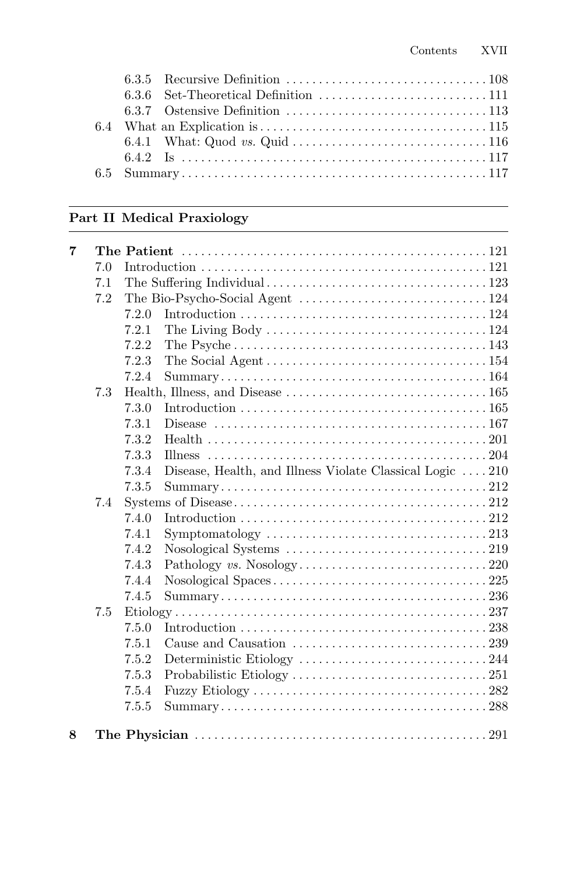|  | 6.4 What an Explication is $\dots \dots \dots \dots \dots \dots \dots \dots \dots \dots \dots \dots \dots 115$ |  |
|--|----------------------------------------------------------------------------------------------------------------|--|
|  |                                                                                                                |  |
|  |                                                                                                                |  |
|  |                                                                                                                |  |
|  |                                                                                                                |  |

#### **Part II Medical Praxiology**

| 7 |     |       |                                                                                                           |
|---|-----|-------|-----------------------------------------------------------------------------------------------------------|
|   | 7.0 |       |                                                                                                           |
|   | 7.1 |       |                                                                                                           |
|   | 7.2 |       |                                                                                                           |
|   |     | 7.2.0 |                                                                                                           |
|   |     | 7.2.1 | The Living Body $\dots \dots \dots \dots \dots \dots \dots \dots \dots \dots \dots \dots 124$             |
|   |     | 7.2.2 |                                                                                                           |
|   |     | 7.2.3 |                                                                                                           |
|   |     | 7.2.4 | $Summary. \ldots \ldots \ldots \ldots \ldots \ldots \ldots \ldots \ldots \ldots \ldots \ldots \ldots 164$ |
|   | 7.3 |       |                                                                                                           |
|   |     | 7.3.0 |                                                                                                           |
|   |     | 7.3.1 |                                                                                                           |
|   |     | 7.3.2 |                                                                                                           |
|   |     | 7.3.3 |                                                                                                           |
|   |     | 7.3.4 | Disease, Health, and Illness Violate Classical Logic $\ldots$ 210                                         |
|   |     | 7.3.5 |                                                                                                           |
|   | 7.4 |       |                                                                                                           |
|   |     | 7.4.0 |                                                                                                           |
|   |     | 7.4.1 | Symptomatology $\ldots \ldots \ldots \ldots \ldots \ldots \ldots \ldots \ldots \ldots \ldots 213$         |
|   |     | 7.4.2 |                                                                                                           |
|   |     | 7.4.3 |                                                                                                           |
|   |     | 7.4.4 |                                                                                                           |
|   |     | 7.4.5 |                                                                                                           |
|   | 7.5 |       |                                                                                                           |
|   |     | 7.5.0 |                                                                                                           |
|   |     | 7.5.1 | Cause and Causation $\ldots \ldots \ldots \ldots \ldots \ldots \ldots \ldots \ldots$ 239                  |
|   |     | 7.5.2 |                                                                                                           |
|   |     | 7.5.3 |                                                                                                           |
|   |     | 7.5.4 |                                                                                                           |
|   |     | 7.5.5 |                                                                                                           |
| 8 |     |       |                                                                                                           |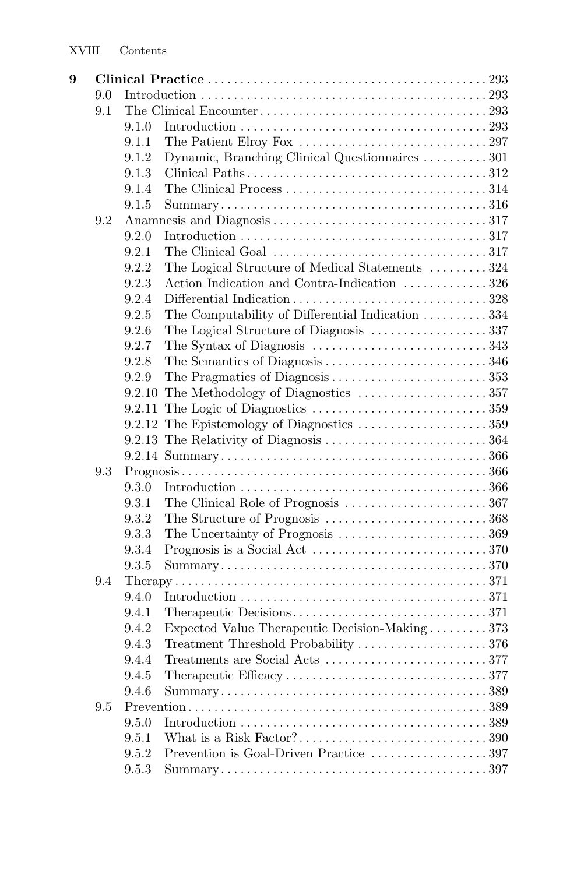| 9 |     |       |                                                                                                      |  |
|---|-----|-------|------------------------------------------------------------------------------------------------------|--|
|   | 9.0 |       |                                                                                                      |  |
|   | 9.1 |       |                                                                                                      |  |
|   |     | 9.1.0 |                                                                                                      |  |
|   |     | 9.1.1 |                                                                                                      |  |
|   |     | 9.1.2 | Dynamic, Branching Clinical Questionnaires 301                                                       |  |
|   |     | 9.1.3 |                                                                                                      |  |
|   |     | 9.1.4 |                                                                                                      |  |
|   |     | 9.1.5 |                                                                                                      |  |
|   | 9.2 |       |                                                                                                      |  |
|   |     | 9.2.0 |                                                                                                      |  |
|   |     | 9.2.1 | The Clinical Goal $\ldots \ldots \ldots \ldots \ldots \ldots \ldots \ldots \ldots \ldots \ldots 317$ |  |
|   |     | 9.2.2 | The Logical Structure of Medical Statements 324                                                      |  |
|   |     | 9.2.3 | Action Indication and Contra-Indication 326                                                          |  |
|   |     | 9.2.4 |                                                                                                      |  |
|   |     | 9.2.5 | The Computability of Differential Indication 334                                                     |  |
|   |     | 9.2.6 |                                                                                                      |  |
|   |     | 9.2.7 | The Syntax of Diagnosis $\dots\dots\dots\dots\dots\dots\dots\dots\dots343$                           |  |
|   |     | 9.2.8 |                                                                                                      |  |
|   |     | 9.2.9 |                                                                                                      |  |
|   |     |       |                                                                                                      |  |
|   |     |       |                                                                                                      |  |
|   |     |       |                                                                                                      |  |
|   |     |       |                                                                                                      |  |
|   |     |       |                                                                                                      |  |
|   | 9.3 |       |                                                                                                      |  |
|   |     | 9.3.0 |                                                                                                      |  |
|   |     | 9.3.1 | The Clinical Role of Prognosis 367                                                                   |  |
|   |     | 9.3.2 |                                                                                                      |  |
|   |     | 9.3.3 |                                                                                                      |  |
|   |     | 9.3.4 |                                                                                                      |  |
|   |     | 9.3.5 |                                                                                                      |  |
|   | 9.4 |       |                                                                                                      |  |
|   |     | 9.4.0 |                                                                                                      |  |
|   |     | 9.4.1 |                                                                                                      |  |
|   |     | 9.4.2 | Expected Value Therapeutic Decision-Making 373                                                       |  |
|   |     | 9.4.3 | Treatment Threshold Probability 376                                                                  |  |
|   |     | 9.4.4 |                                                                                                      |  |
|   |     | 9.4.5 |                                                                                                      |  |
|   |     | 9.4.6 |                                                                                                      |  |
|   | 9.5 |       |                                                                                                      |  |
|   |     | 9.5.0 |                                                                                                      |  |
|   |     | 9.5.1 |                                                                                                      |  |
|   |     | 9.5.2 | Prevention is Goal-Driven Practice 397                                                               |  |
|   |     | 9.5.3 |                                                                                                      |  |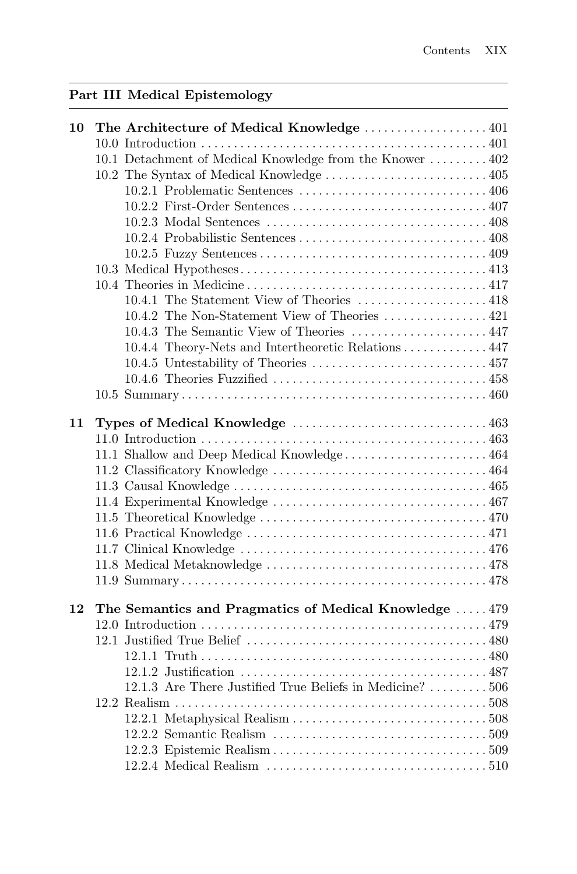# **Part III Medical Epistemology**

| 10 | The Architecture of Medical Knowledge  401                |
|----|-----------------------------------------------------------|
|    |                                                           |
|    | 10.1 Detachment of Medical Knowledge from the Knower  402 |
|    |                                                           |
|    |                                                           |
|    |                                                           |
|    |                                                           |
|    |                                                           |
|    |                                                           |
|    |                                                           |
|    |                                                           |
|    |                                                           |
|    |                                                           |
|    | 10.4.3 The Semantic View of Theories 447                  |
|    | 10.4.4 Theory-Nets and Intertheoretic Relations 447       |
|    |                                                           |
|    |                                                           |
|    |                                                           |
| 11 |                                                           |
|    |                                                           |
|    | 11.1 Shallow and Deep Medical Knowledge 464               |
|    |                                                           |
|    |                                                           |
|    |                                                           |
|    |                                                           |
|    |                                                           |
|    |                                                           |
|    |                                                           |
|    |                                                           |
| 12 | The Semantics and Pragmatics of Medical Knowledge  479    |
|    |                                                           |
|    |                                                           |
|    |                                                           |
|    |                                                           |
|    | 12.1.3 Are There Justified True Beliefs in Medicine? 506  |
|    |                                                           |
|    |                                                           |
|    |                                                           |
|    |                                                           |
|    |                                                           |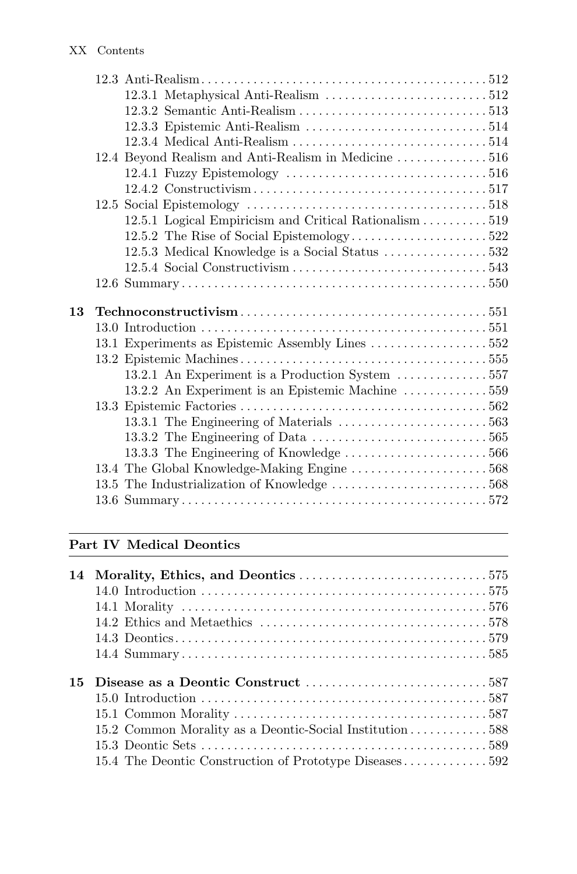|    | 12.4 Beyond Realism and Anti-Realism in Medicine 516                              |
|----|-----------------------------------------------------------------------------------|
|    |                                                                                   |
|    |                                                                                   |
|    |                                                                                   |
|    | 12.5.1 Logical Empiricism and Critical Rationalism 519                            |
|    |                                                                                   |
|    |                                                                                   |
|    |                                                                                   |
|    |                                                                                   |
|    |                                                                                   |
| 13 |                                                                                   |
|    |                                                                                   |
|    |                                                                                   |
|    | 13.1 Experiments as Epistemic Assembly Lines 552                                  |
|    |                                                                                   |
|    | 13.2.1 An Experiment is a Production System 557                                   |
|    | 13.2.2 An Experiment is an Epistemic Machine 559                                  |
|    |                                                                                   |
|    | 13.3.1 The Engineering of Materials $\dots\dots\dots\dots\dots\dots\dots\dots563$ |
|    |                                                                                   |
|    |                                                                                   |
|    |                                                                                   |
|    |                                                                                   |

### **Part IV Medical Deontics**

| 14 |                                                         |
|----|---------------------------------------------------------|
|    |                                                         |
|    |                                                         |
|    |                                                         |
|    |                                                         |
|    |                                                         |
| 15 |                                                         |
|    |                                                         |
|    |                                                         |
|    | 15.2 Common Morality as a Deontic-Social Institution588 |
|    |                                                         |
|    | 15.4 The Deontic Construction of Prototype Diseases592  |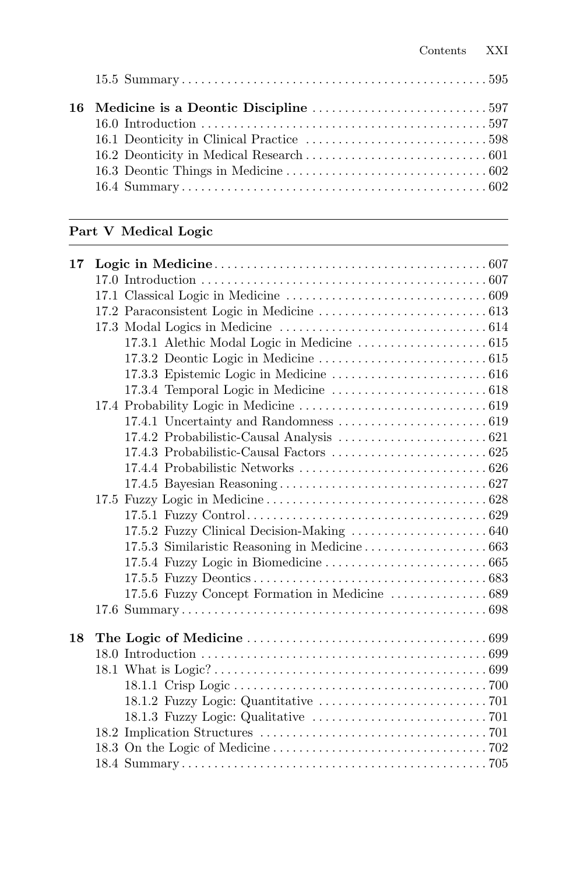## **Part V Medical Logic**

| 17 |  |
|----|--|
|    |  |
|    |  |
|    |  |
|    |  |
|    |  |
|    |  |
|    |  |
|    |  |
|    |  |
|    |  |
|    |  |
|    |  |
|    |  |
|    |  |
|    |  |
|    |  |
|    |  |
|    |  |
|    |  |
|    |  |
|    |  |
|    |  |
|    |  |
| 18 |  |
|    |  |
|    |  |
|    |  |
|    |  |
|    |  |
|    |  |
|    |  |
|    |  |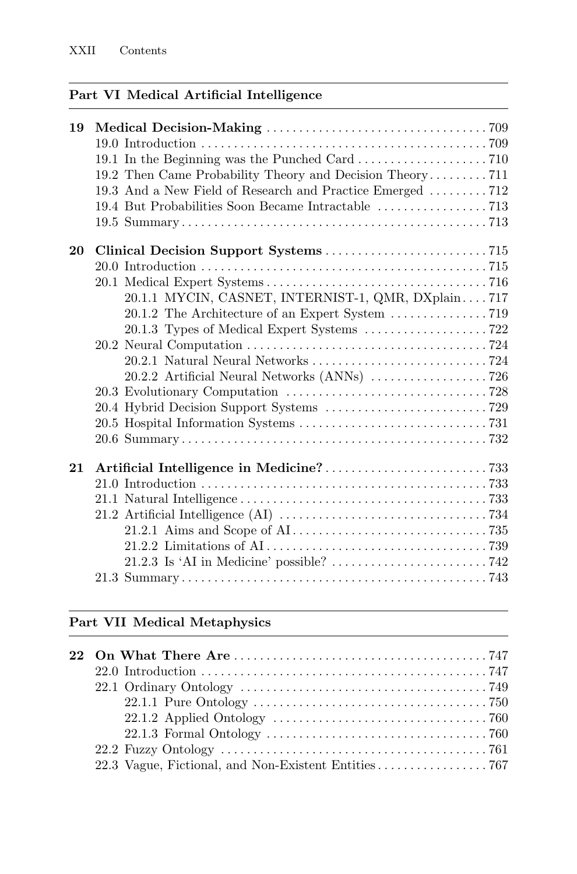### **Part VI Medical Artificial Intelligence**

| 19 |                                                           |
|----|-----------------------------------------------------------|
|    |                                                           |
|    |                                                           |
|    | 19.2 Then Came Probability Theory and Decision Theory711  |
|    | 19.3 And a New Field of Research and Practice Emerged 712 |
|    |                                                           |
|    |                                                           |
| 20 |                                                           |
|    |                                                           |
|    |                                                           |
|    | 20.1.1 MYCIN, CASNET, INTERNIST-1, QMR, DXplain717        |
|    |                                                           |
|    |                                                           |
|    |                                                           |
|    |                                                           |
|    |                                                           |
|    |                                                           |
|    |                                                           |
|    |                                                           |
|    |                                                           |
| 21 |                                                           |
|    |                                                           |
|    |                                                           |
|    |                                                           |
|    |                                                           |
|    |                                                           |
|    |                                                           |
|    |                                                           |
|    |                                                           |

# **Part VII Medical Metaphysics**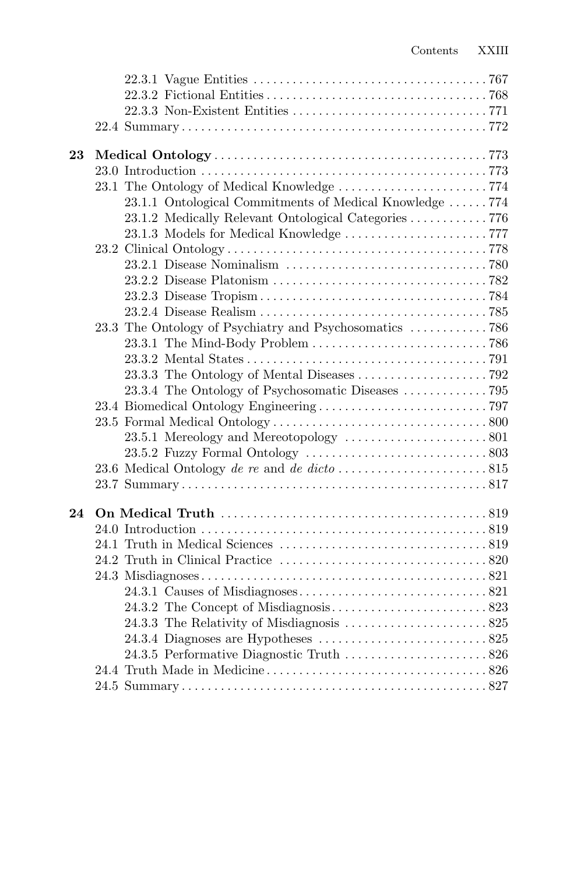| 23 |                                                         |
|----|---------------------------------------------------------|
|    |                                                         |
|    |                                                         |
|    | 23.1.1 Ontological Commitments of Medical Knowledge 774 |
|    | 23.1.2 Medically Relevant Ontological Categories 776    |
|    |                                                         |
|    |                                                         |
|    |                                                         |
|    |                                                         |
|    |                                                         |
|    |                                                         |
|    |                                                         |
|    |                                                         |
|    |                                                         |
|    |                                                         |
|    |                                                         |
|    |                                                         |
|    |                                                         |
|    |                                                         |
|    |                                                         |
|    |                                                         |
|    |                                                         |
| 24 |                                                         |
|    |                                                         |
|    |                                                         |
|    |                                                         |
|    |                                                         |
|    |                                                         |
|    |                                                         |
|    |                                                         |
|    |                                                         |
|    |                                                         |
|    |                                                         |
|    |                                                         |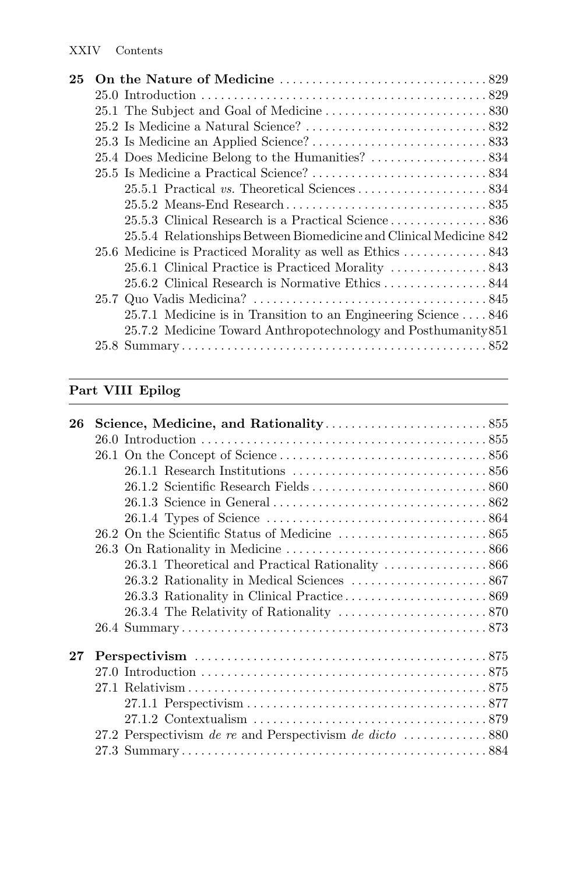| 25 |                                                                                  |
|----|----------------------------------------------------------------------------------|
|    |                                                                                  |
|    |                                                                                  |
|    |                                                                                  |
|    |                                                                                  |
|    |                                                                                  |
|    |                                                                                  |
|    |                                                                                  |
|    |                                                                                  |
|    |                                                                                  |
|    | 25.5.4 Relationships Between Biomedicine and Clinical Medicine 842               |
|    |                                                                                  |
|    | 25.6.1 Clinical Practice is Practiced Morality $\ldots \ldots \ldots \ldots 843$ |
|    |                                                                                  |
|    |                                                                                  |
|    | 25.7.1 Medicine is in Transition to an Engineering Science  846                  |
|    | 25.7.2 Medicine Toward Anthropotechnology and Posthumanity 851                   |
|    |                                                                                  |
|    |                                                                                  |

# **Part VIII Epilog**

| 26     |  |
|--------|--|
|        |  |
|        |  |
|        |  |
|        |  |
|        |  |
|        |  |
|        |  |
|        |  |
|        |  |
|        |  |
|        |  |
|        |  |
|        |  |
| $27\,$ |  |
|        |  |
|        |  |
|        |  |
|        |  |
|        |  |
|        |  |
|        |  |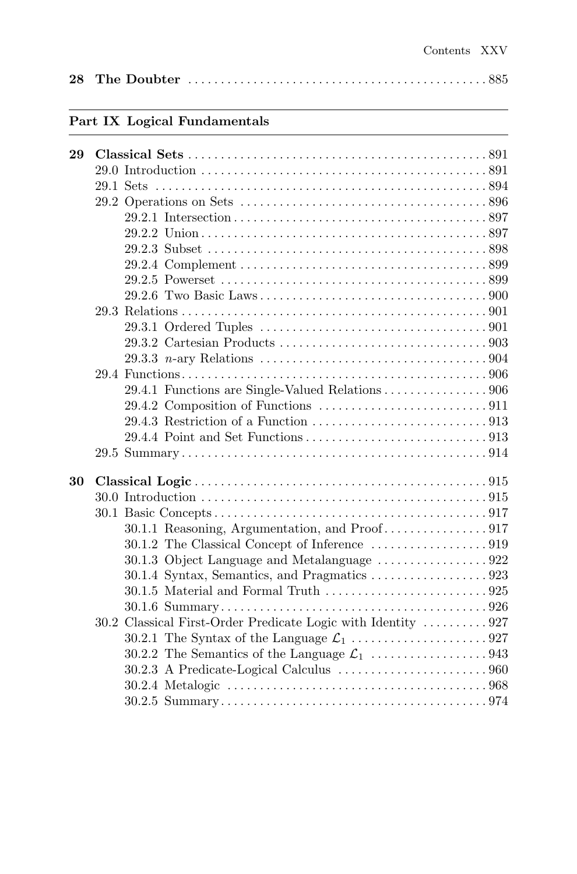|--|--|--|--|--|--|--|--|--|

# **Part IX Logical Fundamentals**

| 29.4.1 Functions are Single-Valued Relations 906                            |
|-----------------------------------------------------------------------------|
|                                                                             |
|                                                                             |
|                                                                             |
|                                                                             |
|                                                                             |
|                                                                             |
|                                                                             |
|                                                                             |
|                                                                             |
|                                                                             |
|                                                                             |
|                                                                             |
| $30.1.5$ Material and Formal Truth $\dots\dots\dots\dots\dots\dots\dots925$ |
|                                                                             |
| 30.2 Classical First-Order Predicate Logic with Identity  927               |
|                                                                             |
|                                                                             |
|                                                                             |
|                                                                             |
|                                                                             |
|                                                                             |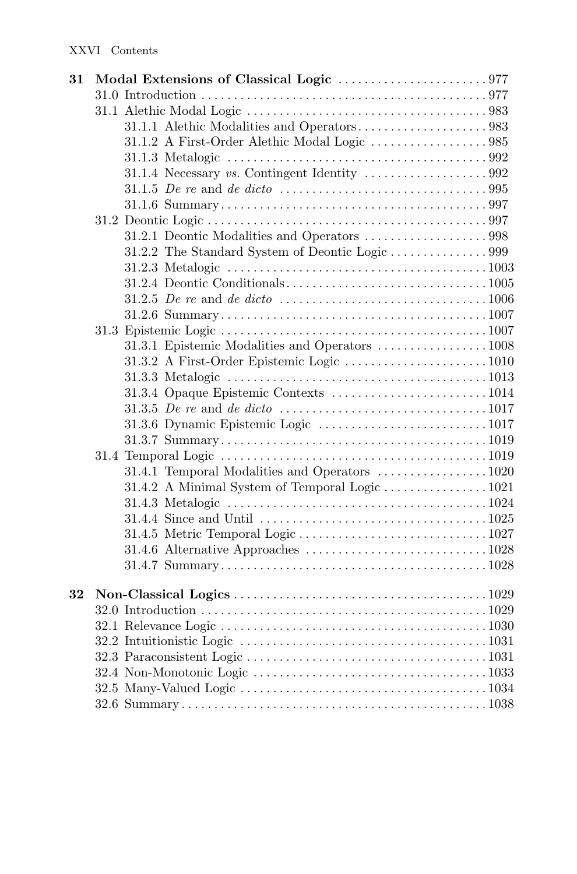| 31.1.1 Alethic Modalities and Operators983<br>31.3.1 Epistemic Modalities and Operators 1008<br>31.4.1 Temporal Modalities and Operators 1020<br>31.4.2 A Minimal System of Temporal Logic 1021<br>32 | 31 |  |  |
|-------------------------------------------------------------------------------------------------------------------------------------------------------------------------------------------------------|----|--|--|
|                                                                                                                                                                                                       |    |  |  |
|                                                                                                                                                                                                       |    |  |  |
|                                                                                                                                                                                                       |    |  |  |
|                                                                                                                                                                                                       |    |  |  |
|                                                                                                                                                                                                       |    |  |  |
|                                                                                                                                                                                                       |    |  |  |
|                                                                                                                                                                                                       |    |  |  |
|                                                                                                                                                                                                       |    |  |  |
|                                                                                                                                                                                                       |    |  |  |
|                                                                                                                                                                                                       |    |  |  |
|                                                                                                                                                                                                       |    |  |  |
|                                                                                                                                                                                                       |    |  |  |
|                                                                                                                                                                                                       |    |  |  |
|                                                                                                                                                                                                       |    |  |  |
|                                                                                                                                                                                                       |    |  |  |
|                                                                                                                                                                                                       |    |  |  |
|                                                                                                                                                                                                       |    |  |  |
|                                                                                                                                                                                                       |    |  |  |
|                                                                                                                                                                                                       |    |  |  |
|                                                                                                                                                                                                       |    |  |  |
|                                                                                                                                                                                                       |    |  |  |
|                                                                                                                                                                                                       |    |  |  |
|                                                                                                                                                                                                       |    |  |  |
|                                                                                                                                                                                                       |    |  |  |
|                                                                                                                                                                                                       |    |  |  |
|                                                                                                                                                                                                       |    |  |  |
|                                                                                                                                                                                                       |    |  |  |
|                                                                                                                                                                                                       |    |  |  |
|                                                                                                                                                                                                       |    |  |  |
|                                                                                                                                                                                                       |    |  |  |
|                                                                                                                                                                                                       |    |  |  |
|                                                                                                                                                                                                       |    |  |  |
|                                                                                                                                                                                                       |    |  |  |
|                                                                                                                                                                                                       |    |  |  |
|                                                                                                                                                                                                       |    |  |  |
|                                                                                                                                                                                                       |    |  |  |
|                                                                                                                                                                                                       |    |  |  |
|                                                                                                                                                                                                       |    |  |  |
|                                                                                                                                                                                                       |    |  |  |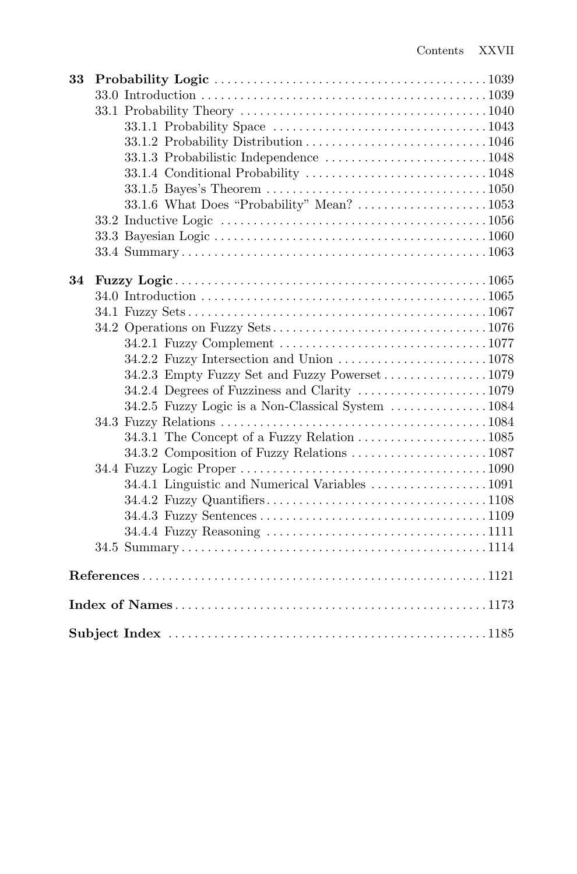| 33 |                                               |  |
|----|-----------------------------------------------|--|
|    |                                               |  |
|    |                                               |  |
|    |                                               |  |
|    |                                               |  |
|    |                                               |  |
|    |                                               |  |
|    |                                               |  |
|    |                                               |  |
|    |                                               |  |
|    |                                               |  |
|    |                                               |  |
|    |                                               |  |
| 34 |                                               |  |
|    |                                               |  |
|    |                                               |  |
|    |                                               |  |
|    |                                               |  |
|    |                                               |  |
|    | 34.2.3 Empty Fuzzy Set and Fuzzy Powerset1079 |  |
|    | 34.2.4 Degrees of Fuzziness and Clarity 1079  |  |
|    |                                               |  |
|    |                                               |  |
|    | 34.3.1 The Concept of a Fuzzy Relation 1085   |  |
|    |                                               |  |
|    |                                               |  |
|    |                                               |  |
|    |                                               |  |
|    |                                               |  |
|    |                                               |  |
|    |                                               |  |
|    |                                               |  |
|    |                                               |  |
|    |                                               |  |
|    |                                               |  |
|    |                                               |  |